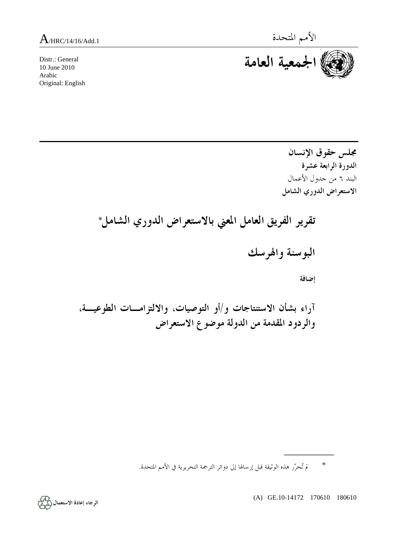Distr.: General 10 June 2010 Arabic Original: English



**مجلس حقوق الإنسان الدورة الرابعة عشرة**  البند ٦ من جدول الأعمال **الاستعراض الدوري الشامل تقرير الفريق العامل المعني بالاستعراض الدوري الشامل\* البوسنة والهرسك إضافة آراء بشأن الاستنتاجات و/أو التوصيات، والالتزامـات الطوعيـة، والردود المقدمة من الدولة موضوع الاستعراض** 

\* لم تُحرّر هذه الوثيقة قبل إرسالها إلى دوائر الترجمة التحريرية في الأمم المتحدة.

(A) GE.10-14172 170610 180610

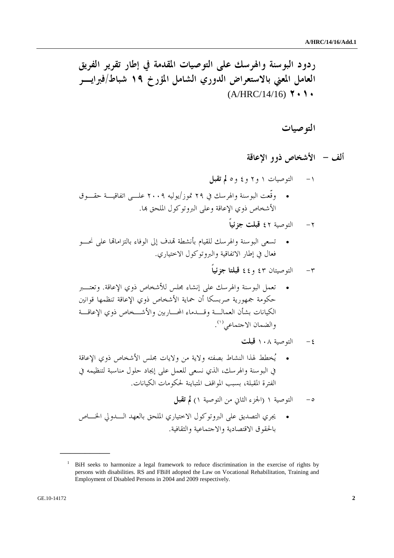**ردود البوسنة والهرسك على التوصيات المقدمة في إطار تقرير الفريق العامل المعني بالاستعراض الدوري الشامل المؤرخ ١٩ شباط/فبرايـر** (A/HRC/14/16) **٢٠١٠**

 **التوصيات** 

 **ألف - الأشخاص ذوو الإعاقة** 

-١ التوصيات ١ و٢ و٤ و٥ **لم تقبل** • وقّعت البوسنة والهرسك في ٢٩ تموز/يوليه ٢٠٠٩ علـى اتفاقيـة حقـوق الأشخاص ذوي الإعاقة وعلى البروتوكول الملحق هبا.

- -٢ التوصية ٤٢ **قبلت جزئياً**
- تسعى البوسنة والهرسك للقيام بأنشطة هتدف إلى الوفاء بالتزاماهتا على نحـو فعال في إطار الاتفاقية والبروتوكول الاختياري.
	- -٣ التوصيتان ٤٣ و٤٤ **قبلتا جزئياً**
- تعمل البوسنة والهرسك على إنشاء مجلس للأشخاص ذوي الإعاقة . وتعتـبر حكومة جمهورية صربسكا أن حماية الأشخاص ذوي الإعاقة تنظمها قوانين الكيانات بشأن العمالـة وقـدماء المحـاربين والأشـخاص ذوي الإعاقـة . (١) والضمان الاجتماعي
	- -٤ التوصية ١٠٨ **قبلت**
- يُخطط لهذا النشاط بصفته ولاية من ولايات مجلس الأشخاص ذوي الإعاقة في البوسنة والهرسك، الذي نسعى للعمل على إيجاد حلول مناسبة لتنظيمه في الفترة المقبلة، بسبب المواقف المتباينة لحكومات الكيانات.
	- -٥ التوصية ١ (الجزء الثاني من التوصية ١) **لم تقبل**
- يجري التصديق على البروتوكول الاختياري الملحق بالعهد الـدولي الخـاص بالحقوق الاقتصادية والاجتماعية والثقافية.

<sup>&</sup>lt;sup>1</sup> BiH seeks to harmonize a legal framework to reduce discrimination in the exercise of rights by persons with disabilities. RS and FBiH adopted the Law on Vocational Rehabilitation, Training and Employment of Disabled Persons in 2004 and 2009 respectively.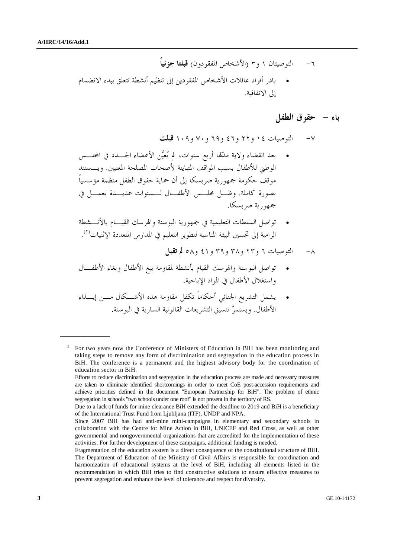- -٦ التوصيتان ١ و٣ (الأشخاص المفقودون) **قبلتا جزئياً**
- بادر أفراد عائلات الأشخاص المفقودين إلى تنظيم أنشطة تتعلق ببدء الانضمام إلى الاتفاقية.

#### **باء - حقوق الطفل**

-٧ التوصيات ١٤ و٢٢ و٤٦ و٦٩ و٧٠ و١٠٩ **قبلت**

- بعد انقضاء ولاية مدّهتا أربع سنوات، لم يُعيَّن ا لأعضاء الجـدد في اجمللـس الوطني للأطفال بسبب المواقف المتباينة لأصحاب المصلحة المعنيين. ويـستند موقف حكومة جمهورية صربسكا إلى أن حماية حقوق الطفل منظمة مؤسسياً بصورة كاملة. وظـل مجلـس الأطفـال لـسنوات عديـدة يعمـل في جمهورية صربسكا.
- تواصل السلطات التعليمية في جمهورية البوسنة والهرسك القيـام بالأنـشطة الرامية إلى تحسين البيئة المناسبة لتطوير التعليم في المدارس المتعددة الإثنيات<sup>(٢)</sup>.
	- -٨ التوصيات ٦ و٢٣ و٣٨ و٣٩ و٤١ و٥٨ **لم تقبل**
- تواصل البوسنة والهرسك القيام بأنشطة لمقاومة بيع الأطفال وبغاء الأطفـال واستغلال الأطفال في المواد الإباحية.
- يشمل التشريع الجنائي أحكاماً تكفل مقاومة هذه الأشـكال مـن إيـذاء الأطفال. ويستمرّ تنسيق التشريعات القانونية السارية في البوسنة.

<sup>2</sup> For two years now the Conference of Ministers of Education in BiH has been monitoring and taking steps to remove any form of discrimination and segregation in the education process in BiH. The conference is a permanent and the highest advisory body for the coordination of education sector in BiH.

Efforts to reduce discrimination and segregation in the education process are made and necessary measures are taken to eliminate identified shortcomings in order to meet CoE post-accession requirements and achieve priorities defined in the document "European Partnership for BiH". The problem of ethnic segregation in schools "two schools under one roof" is not present in the territory of RS.

Due to a lack of funds for mine clearance BiH extended the deadline to 2019 and BiH is a beneficiary of the International Trust Fund from Ljubljana (ITF), UNDP and NPA.

Since 2007 BiH has had anti-mine mini-campaigns in elementary and secondary schools in collaboration with the Centre for Mine Action in BiH, UNICEF and Red Cross, as well as other governmental and nongovernmental organizations that are accredited for the implementation of these activities. For further development of these campaigns, additional funding is needed.

Fragmentation of the education system is a direct consequence of the constitutional structure of BiH. The Department of Education of the Ministry of Civil Affairs is responsible for coordination and harmonization of educational systems at the level of BiH, including all elements listed in the recommendation in which BiH tries to find constructive solutions to ensure effective measures to prevent segregation and enhance the level of tolerance and respect for diversity.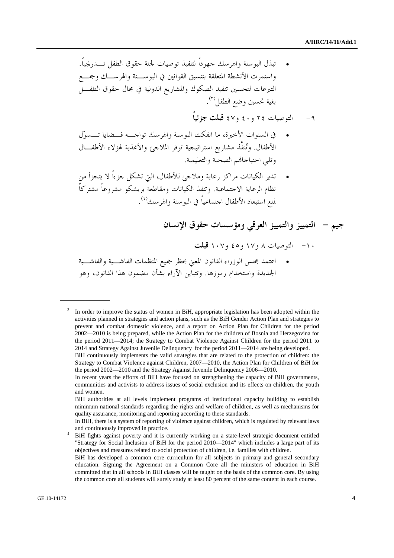- تبذل البوسنة والهرسك جهوداً لتنفيذ توصيات لجنة حقوق الطفل تـدريجياً . واستمرت الأنشطة المتعلقة بتنسيق القوانين في البوسـنة والهرسـك وجمـع التبرعات لتحسين تنفيذ الصكوك والمشاريع الدولية في مجال حقوق الطفـل . (٣) بغية تحسين وضع الطفل
	- -٩ التوصيات ٢٤ و٤٠ و٤٧ **قبلت جزئياًً**
- في السنوات الأخيرة، ما انفكت البوسنة والهرسك تواجـه قـضايا تـسوّل الأطفال. وتُنفَّذ مشاريع استراتيجية توفر الملاجئ والأغذية لهؤلاء الأطفـال وتلبي احتياجاهتم الصحية والتعليمية.
- تدير الكيانات مراكز رعاية وملاجئ للأطفال، التي تشكل جزءاً لا يتجزأ من نظام الرعاية الاجتماعية. وتنفذ الكيانات ومقاطعة بريشكو مشروعاً مشتركاً . (٤) لمنع استبعاد الأطفال اجتماعياً في البوسنة والهرسك

# **جيم - التمييز والتمييز العرقي ومؤسسات حقوق الإنسان**

## -١٠ التوصيات ٨ و١٧ و٤٥ و١٠٧ **قبلت**

• اعتمد مجلس الوزراء القانون المعني بحظر جميع المنظمات الفاشـية والفاشـية الجديدة واستخدام رموزها. وتتباين الآراء بشأن مضمون هذا القانون، وهو

 BiH fights against poverty and it is currently working on a state-level strategic document entitled "Strategy for Social Inclusion of BiH for the period 2010—2014" which includes a large part of its objectives and measures related to social protection of children, i.e. families with children.

<sup>3</sup> In order to improve the status of women in BiH, appropriate legislation has been adopted within the activities planned in strategies and action plans, such as the BiH Gender Action Plan and strategies to prevent and combat domestic violence, and a report on Action Plan for Children for the period 2002—2010 is being prepared, while the Action Plan for the children of Bosnia and Herzegovina for the period 2011—2014; the Strategy to Combat Violence Against Children for the period 2011 to 2014 and Strategy Against Juvenile Delinquency for the period 2011—2014 are being developed.

BiH continuously implements the valid strategies that are related to the protection of children: the Strategy to Combat Violence against Children, 2007—2010, the Action Plan for Children of BiH for the period 2002—2010 and the Strategy Against Juvenile Delinquency 2006—2010.

In recent years the efforts of BiH have focused on strengthening the capacity of BiH governments, communities and activists to address issues of social exclusion and its effects on children, the youth and women.

BiH authorities at all levels implement programs of institutional capacity building to establish minimum national standards regarding the rights and welfare of children, as well as mechanisms for quality assurance, monitoring and reporting according to these standards.

In BiH, there is a system of reporting of violence against children, which is regulated by relevant laws and continuously improved in practice. 4

BiH has developed a common core curriculum for all subjects in primary and general secondary education. Signing the Agreement on a Common Core all the ministers of education in BiH committed that in all schools in BiH classes will be taught on the basis of the common core. By using the common core all students will surely study at least 80 percent of the same content in each course.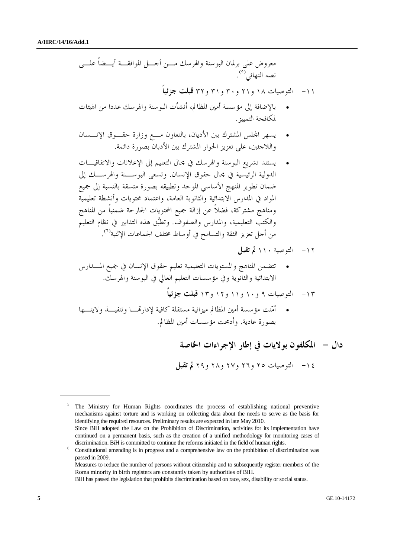معروض على برلمان البوسنة والهرسك مـن أجـل الموافقـة أيـضاً علـى . (٥) نصه النهائي -١١ التوصيات ١٨ و٢١ و٣٠ و٣١ و٣٢ **قبلت جزئياً**  • بالإضافة إلى مؤسسة أمين المظالم، أنشأت البوسنة والهرسك عددا من الهيئات لمكافحة التمييز. • يسهر اجمللس المشترك بين الأديان، بالتعاون مـع وزارة حقـوق الإنـسان واللاجئين، على تعزيز الحوار المشترك بين الأدبان بصورة دائمة. • يستند تشريع البوسنة والهرسك في مجال التعليم إلى الإعلانات والاتفاقيـات الدولية الرئيسية في مجال حقوق الإنسان. وتسعى البوسـنة والهرسـك إلى ضمان تطوير المنهج الأساسي الموحد وتطبيقه بصورة متسقة بالنسبة إلى جميع المواد في المدارس الابتدائية والثانوية العامة، واعتماد محتويات وأنشطة تعليمية ومناهج مشتركة، فضلاً عن إزالة جميع المحتويات الجارحة ضمنياً من المناهج والكتب التعليمية، والمدارس والصفوف. وتطبَّق هذه التدابير في نظام التعليم من أجل تعزيز الثقة والتسامح في أوساط مختلف الجماعات الإثنية (٦) . -١٢ التوصية ١١٠ **لم تقبل**  • تتضمن المناهج والمستويات التعليمية تعليم حقوق الإنسان في جميع المـدارس الابتدائية والثانوية وفي مؤسسات التعليم العالي في البوسنة والهرسك. -١٣ التوصيات ٩ و١٠ و١١ و١٢ و١٣ **قبلت جزئياً** • أمّنت مؤسسة أمين المظالم ميزانية مستقلة كافية لإدارهتـا وتنفيـذ ولايتـها بصورة عادية. وأدمجت مؤسسات أمين المظالم.  **دال - المكلفون بولايات في إطار الإجراءات الخاصة** 

-١٤ التوصيات ٢٥ و٢٦ و٢٧ و٢٨ و٢٩ **لم تقبل** 

BiH has passed the legislation that prohibits discrimination based on race, sex, disability or social status.

<sup>&</sup>lt;sup>5</sup> The Ministry for Human Rights coordinates the process of establishing national preventive mechanisms against torture and is working on collecting data about the needs to serve as the basis for identifying the required resources. Preliminary results are expected in late May 2010. Since BiH adopted the Law on the Prohibition of Discrimination, activities for its implementation have continued on a permanent basis, such as the creation of a unified methodology for monitoring cases of discrimination. BiH is committed to continue the reforms initiated in the field of human rights.<br><sup>6</sup> Constitutional amending is in progress and a comprehensive law on the prohibition of discrimination was

passed in 2009.

Measures to reduce the number of persons without citizenship and to subsequently register members of the Roma minority in birth registers are constantly taken by authorities of BiH.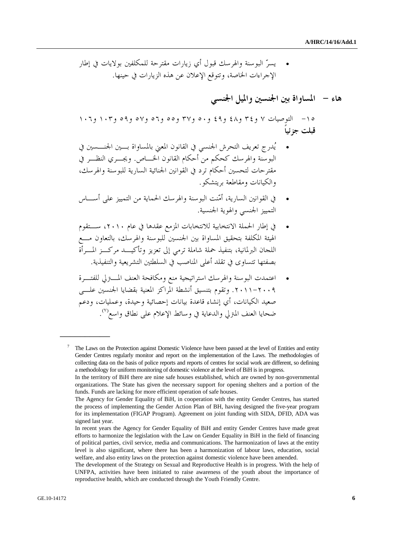• يسرّ البوسنة والهرسك قبول أي زيارات مقترحة للمكلفين بولايات في إطار الإجراءات الخاصة، وتتوقع الإعلان عن هذه الزيارات في حينها.

### **هاء - المساواة بين الجنسين والميل الجنسي**

-١٥ التوصيات ٧ و٣٤ و٤٨ و٤٩ و٥٠ و٣٧ و٥٥ و٥٦ و٥٧ و٥٩ و١٠٣ و١٠٦ **قبلت جزئياً** 

- يُدرج تعريف التحرش الجنسي في القانون المعني بالمساواة بـين الجنـسين في البوسنة والهرسك كحكم من أحكام القانون الخـاص. ويجـري النظـر في مقترحات لتحسين أحكام ترد في القوانين الجنائية السارية للبوسنة والهرسك، والكيانات ومقاطعة بريتشكو.
- في القوانين السارية، أمّنت البوسنة والهرسك الحماية من التمييز على أسـاس التمييز الجنسي والهوية الجنسية.
- في إطار الحملة الانتخابية للانتخابات المزمع عقدها في عام ،٢٠١٠ سـتقوم الهيئة المكلفة بتحقيق المساواة بين الجنسين للبوسنة والهرسك، بالتعاون مـع اللجان البرلمانية، بتنفيذ حملة شاملة ترمي إلى تعزيز وتأكيـد مركـز المـرأة بصفتها تتساوى في تقلد أعلى المناصب في السلطتين التشريعية والتنفيذية.
- اعتمدت البوسنة والهرسك استراتيجية منع ومكافحة العنف المـترلي للفتـرة .٢٠١١-٢٠٠٩ وتقوم بتنسيق أنشطة المراكز المعنية بقضايا الجنسين علـى صعيد الكيانات، أي إنشاء قاعدة بيانات إحصائية وحيدة، وعمليات، ودعم . (٧) ضحايا العنف المترلي والدعاية في وسائط الإعلام على نطاق واسع

<sup>7</sup> The Laws on the Protection against Domestic Violence have been passed at the level of Entities and entity Gender Centres regularly monitor and report on the implementation of the Laws. The methodologies of collecting data on the basis of police reports and reports of centres for social work are different, so defining a methodology for uniform monitoring of domestic violence at the level of BiH is in progress.

In the territory of BiH there are nine safe houses established, which are owned by non-governmental organizations. The State has given the necessary support for opening shelters and a portion of the funds. Funds are lacking for more efficient operation of safe houses.

The Agency for Gender Equality of BiH, in cooperation with the entity Gender Centres, has started the process of implementing the Gender Action Plan of BH, having designed the five-year program for its implementation (FIGAP Program). Agreement on joint funding with SIDA, DFID, ADA was signed last year.

In recent years the Agency for Gender Equality of BiH and entity Gender Centres have made great efforts to harmonize the legislation with the Law on Gender Equality in BiH in the field of financing of political parties, civil service, media and communications. The harmonization of laws at the entity level is also significant, where there has been a harmonization of labour laws, education, social welfare, and also entity laws on the protection against domestic violence have been amended.

The development of the Strategy on Sexual and Reproductive Health is in progress. With the help of UNFPA, activities have been initiated to raise awareness of the youth about the importance of reproductive health, which are conducted through the Youth Friendly Centre.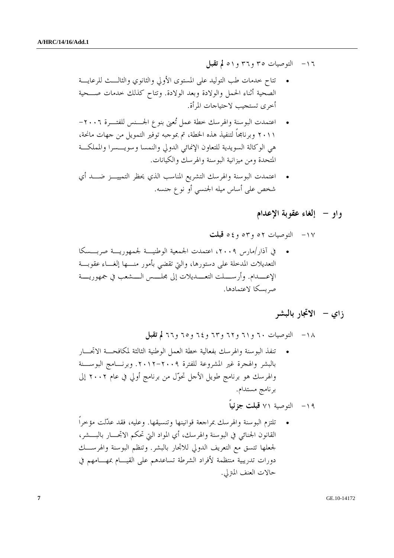- -١٦ التوصيات ٣٥ و٣٦ و٥١ **لم تقبل**
- تتاح خدمات طب التوليد على المستوى الأولي والثانوي والثالـث للرعايـة الصحية أثناء الحمل والولادة وبعد الولادة. وتتاح كذلك خدمات صـحية أخرى تستجيب لاحتياجات المرأة.
- اعتمدت البوسنة والهرسك خطة عمل تُعنى بنوع الجـنس للفتـرة -٢٠٠٦ ٢٠١١ وبرنامجاً لتنفيذ هذه الخطة، تم بموجبه توفير التمويل من جهات مانحة، هي الوكالة السويدية للتعاون الإنمائي الدولي والنمسا وسويـسرا والمملكـة المتحدة ومن ميزانية البوسنة والهرسك والكيانات.
- اعتمدت البوسنة والهرسك التشريع المناسب الذي يحظر التمييـز ضـد أي شخص على أساس ميله الجنسي أو نوع جنسه.

#### **واو - إلغاء عقوبة الإعدام**

-١٧ التوصيات ٥٢ و٥٣ و٥٤ **قبلت** 

• في آذار/مارس ،٢٠٠٩ اعتمدت الجمعية الوطنيـة لجمهوريـة صربـسكا التعديلات المدخلة على دستورها، والتي تقضي بأمور منـها إلغـاء عقوبـة الإعــدام. وأرســلت التعــديلات إلى مجلــس الــشعب في جمهوريــة صربسكا لاعتمادها.

#### **زاي - الاتجار بالبشر**

-١٨ التوصيات ٦٠ و٦١ و٦٢ و٦٣ و٦٤ و٦٥ و٦٦ **لم تقبل**

• تنفذ البوسنة والهرسك بفعالية خطة العمل الوطنية الثالثة لمكافحـة الاتجـار بالبشر والهجرة غير المشروعة للفترة .٢٠١٢-٢٠٠٩ وبرنـامج البوسـنة والهرسك هو برنامج طويل الأجل تحوّل من برنامج أولي في عام ٢٠٠٢ إلى برنامج مستدام.

-١٩ التوصية ٧١ **قبلت جزئياً** 

• تلتزم البوسنة والهرسك بمراجعة قوانينها وتنسيقها. وعليه، فقد عدّلت مؤخراً القانون الجنائي في البوسنة والهرسك، أي المواد التي تحكم الاتجـار بالبـشر، لجعلها تتسق مع التعريف الدولي للاتجار بالبشر. وتنظم البوسنة والهرسـك دورات تدريبية منتظمة لأفراد الشرطة تساعدهم على القيـام بمهـامهم في حالات العنف المترلي.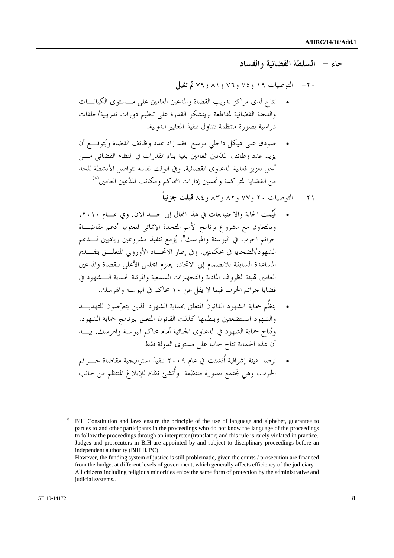**حاء - السلطة القضائية والفساد** 

-٢٠ التوصيات ١٩ و٧٤ و٧٦ و٨١ و٧٩ **لم تقبل** 

- تتاح لدى مراكز تدريب القضاة والمدعين العامين على مـستوى الكيانـات واللجنة القضائية لمقاطعة بريتشكو القدرة على تنظيم دورات تدريبية /حلقات دراسية بصورة منتظمة تتناول تنفيذ المعايير الدولية.
- صودق على هيكل داخلي موسع. فقد زاد عدد وظائف القضاة ويُتوقـع أن يزيد عدد وظائف المدّعين العامين بغية بناء القدرات في النظام القضائي مـن أجل تعزيز فعالية الدعاوى القضائية. وفي الوقت نفسه تتواصل الأنشطة للحد من القضايا المتراكمة وتحسين إدارات المحاكم ومكاتب المدّعين العامين'<sup>^</sup>).
	- -٢١ التوصيات ٢٠ و٧٧ و٨٢ و٨٣ و٨٤ **قبلت جزئياً**
- قُيِّمت الحالة والاحتياجات في هذا اجملال إلى حـد الآن . وفي عـام ،٢٠١٠ وبالتعاون مع مشروع برنامج الأمم المتحدة الإنمائي المعنون "دعم مقاضـاة جرائم الحرب في البوسنة والهرسك"، يُزمع تنفيذ مشروعين رياديين لـدعم الشهود/الضحايا في محكمتين. وفي إطار الاتحـاد الأوروبي المتعلـق بتقـديم المساعدة السابقة للانضمام إلى الاتحاد، يعتزم اجمللس الأعلى للقضاة والمدعين العامين هتيئة الظروف المادية والتجهيزات السمعية والمرئية لحماية الـشهود في قضايا جرائم الحرب فيما لا يقل عن ١٠ محاكم في البوسنة والهرسك.
- ينظِّم حمايةَ الشهود القانونُ المتعلق بحماية الشهود الذين يتعرّضون للتهديـد والشهود المستضعفين وينظمها كذلك القانون المتعلق ببرنامج حماية الشهود. وتُتاح حماية الشهود في الدعاوى الجنائية أمام محاكم البوسنة والهرسك . بيـد أن هذه الحماية تتاح حالياً على مستوى الدولة فقط.
- ترصد هيئة إشرافية أُنشئت في عام ٢٠٠٩ تنفيذ استراتيجية مقاضاة جـرائم الحرب، وهي تجتمع بصورة منتظمة. وأُنشئ نظام للإبلاغ المنتظم من جانب

<sup>8</sup> BiH Constitution and laws ensure the principle of the use of language and alphabet, guarantee to parties to and other participants in the proceedings who do not know the language of the proceedings to follow the proceedings through an interpreter (translator) and this rule is rarely violated in practice. Judges and prosecutors in BiH are appointed by and subject to disciplinary proceedings before an independent authority (BiH HJPC).

However, the funding system of justice is still problematic, given the courts / prosecution are financed from the budget at different levels of government, which generally affects efficiency of the judiciary. All citizens including religious minorities enjoy the same form of protection by the administrative and judicial systems.**.**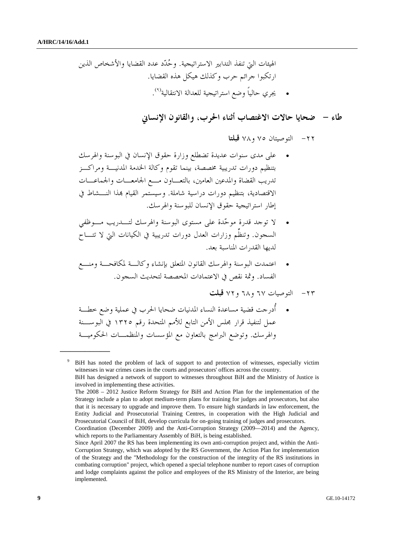الهيئات التي تنفذ التدابير الاستراتيجية. وحُدّد عدد القضايا والأشخاص الذين ارتكبوا جرائم حرب وكذلك هيكل هذه القضايا. . (٩) • يجري حالياً وضع استراتيجية للعدالة الانتقالية

#### **طاء - ضحايا حالات الاغتصاب أثناء الحرب، والقانون الإنساني**

-٢٢ التوصيتان ٧٥ و٧٨ **قبلتا** 

- على مدى سنوات عديدة تضطلع وزارة حقوق الإنسان في البوسنة والهرسك بتنظيم دورات تدريبية مخصصة، بينما تقوم وكالة الخدمة المدنيـة ومراكـز تدريب القضاة والمدعين العامين، بالتعـاون مـع الجامعـات والجماعـات الاقتصادية، بتنظيم دورات دراسية شاملة. وسيستمر القيام هبذا النـشاط في إطار استراتيجية حقوق الإنسان للبوسنة والهرسك.
- لا توجد قدرة موحّدة على مستوى البوسنة والهرسك لتـدريب مـوظفي السجون. وتنظِّم وزارات العدل دورات تدريبية في الكيانات التي لا تتـاح لديها القدرات المناسبة بعد.
- اعتمدت البوسنة والهرسك القانون المتعلق بإنشاء وكالـة لمكافحـة ومنـع الفساد. وثمة نقص في الاعتمادات المخصصة لتحديث السجون.

-٢٣ التوصيات ٦٧ و٦٨ و٧٢ **قبلت** 

• أُدرجت قضية مساعدة النساء المدنيات ضحايا الحرب في عملية وضع خطـة عمل لتنفيذ قرار مجلس الأمن التابع للأمم المتحدة رقم ١٣٢٥ في البوسـنة والهرسك. وتوضع البرامج بالتعاون مع المؤسسات والمنظمـات الحكوميـة

<sup>9</sup> BiH has noted the problem of lack of support to and protection of witnesses, especially victim witnesses in war crimes cases in the courts and prosecutors' offices across the country. BiH has designed a network of support to witnesses throughout BiH and the Ministry of Justice is involved in implementing these activities.

The 2008 – 2012 Justice Reform Strategy for BiH and Action Plan for the implementation of the Strategy include a plan to adopt medium-term plans for training for judges and prosecutors, but also that it is necessary to upgrade and improve them. To ensure high standards in law enforcement, the Entity Judicial and Prosecutorial Training Centres, in cooperation with the High Judicial and Prosecutorial Council of BiH, develop curricula for on-going training of judges and prosecutors.

Coordination (December 2009) and the Anti-Corruption Strategy (2009—2014) and the Agency, which reports to the Parliamentary Assembly of BiH, is being established.

Since April 2007 the RS has been implementing its own anti-corruption project and, within the Anti-Corruption Strategy, which was adopted by the RS Government, the Action Plan for implementation of the Strategy and the "Methodology for the construction of the integrity of the RS institutions in combating corruption" project, which opened a special telephone number to report cases of corruption and lodge complaints against the police and employees of the RS Ministry of the Interior, are being implemented.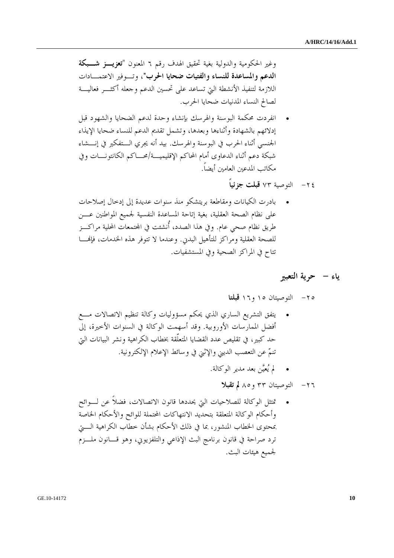وغير الحكومية والدولية بغية تحقيق الهدف رقم ٦ المعنون "**تعزيـز شـبكة الدعم والمساعدة للنساء والفتيات ضحايا الحرب"**، وتـوفير الاعتمـادات اللازمة لتنفيذ الأنشطة التي تساعد على تحسين الدعم وجعله أكثـر فعاليـة لصالح النساء المدنيات ضحايا الحرب.

- انفردت محكمة البوسنة والهرسك بإنشاء وحدة لدعم الضحايا والشهود قبل إدلائهم بالشهادة وأثناءها وبعدها، وتشمل تقديم الدعم للنساء ضحايا الإيذاء الجنسي أثناء الحرب في البوسنة والهرسك. بيد أنه يجري الـتفكير في إنـشاء شبكة دعم أثناء الدعاوى أمام المحاكم الإقليميـة/محـاكم الكانتونـات وفي مكاتب المدعين العامين أيضاً.
	- -٢٤ التوصية ٧٣ **قبلت جزئياً**
- بادرت الكيانات ومقاطعة بريتشكو منذ سنوات عديدة إلى إدخال إصلاحات على نظام الصحة العقلية، بغية إتاحة المساعدة النفسية لجميع المواطنين عـــن طريق نظام صحي عام. وفي هذا الصدد، أُنشئت في اجملتمعات المحلية مراكـز للصحة العقلية ومراكز للتأهيل البدني. وعندما لا تتوفر هذه الخدمات، فإهنـا تتاح في المراكز الصحية وفي المستشفيات.

#### **ياء - حرية التعبير**

-٢٥ التوصيتان ١٥ و١٦ **قبلتا** 

- يتفق التشريع الساري الذي يحكم مسؤوليات وكالة تنظيم الاتصالات مـــع أفضل الممارسات الأوروبية. وقد أسهمت الوكالة في السنوات الأخيرة، إلى حد كبير، في تقليص عدد القضايا المتعلّقة بخطاب الكراهية ونشر البيانات التي تنمّ عن التعصب الديني والإثني في وسائط الإعلام الإلكترونية.
	- لم يُعيَّن بعد مدير الوكالة.

-٢٦ التوصيتان ٣٣ و٨٥ **لم تقبلا** 

• تمتثل الوكالة للصلاحيات التي يحددها قانون الاتصالات، فضلاً عن لـوائح وأحكام الوكالة المتعلقة بتحديد الانتهاكات المحتملة للوائح والأحكام الخاصة بمحتوى الخطاب المنشور، بما في ذلك الأحكام بشأن خطاب الكراهية الـتي ترد صراحة في قانون برنامج البث الإذاعي والتلفزيوني، وهو قـانون ملـزم لجميع هيئات البث.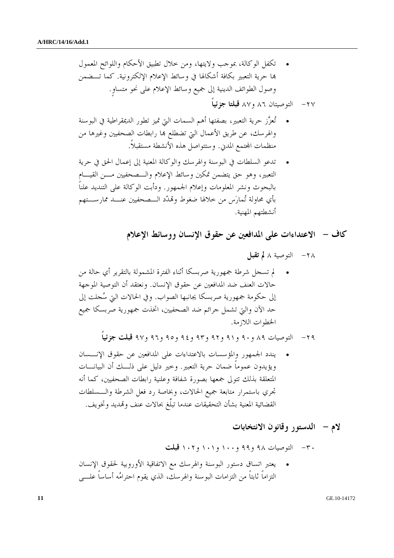• تكفل الوكالة، بموجب ولايتها، ومن خلال تطبيق الأحكام واللوائح المعمول هبا حرية التعبير بكافة أشكالها في وسائط الإعلام الإلكترونية. كما تـضمن وصول الطوائف الدينية إلى جميع وسائط الإعلام على نحو متساوٍ.

- -٢٧ التوصيتان ٨٦ و٨٧ **قبلتا جزئياً**
- تُعزَّز حرية التعبير، بصفتها أهم السمات التي تميز تطور الديمقراطية في البوسنة والهرسك، عن طريق الأعمال التي تضطلع هبا رابطات الصحفيين وغيرها من منظمات اجملتمع المدني. وستتواصل هذه الأنشطة مستقبلاً.
- تدعو السلطات في البوسنة والهرسك والوكالة المعنية إلى إعمال الحق في حرية التعبير، وهو حق يتضمن تمكين وسائط الإعلام والـصحفيين مـن القيـام بالبحوث ونشر المعلومات وإعلام الجمهور. ودأبت الوكالة على التنديد علناً بأي محاولة تُمارَس من خلالها ضغوط وهتدّد الـصحفيين عنـد ممارسـتهم أنشطتهم المهنية.

 **كاف - الاعتداءات على المدافعين عن حقوق الإنسان ووسائط الإعلام** 

-٢٨ التوصية ٨ **لم تقبل**  • لم تسجل شرطة جمهورية صربسكا أثناء الفترة المشمولة بالتقرير أي حالة من حالات العنف ضد المدافعين عن حقوق الإنسان. ونعتقد أن التوصية الموجهة إلى حكومة جمهورية صربسكا يجانبها الصواب. وفي الحالات التي سُجلت إلى حد الآن والتي تشمل جرائم ضد الصحفيين، اتخذت جمهورية صربسكا جميع الخطوات اللازمة.

-٢٩ التوصيات ٨٩ و٩٠ و٩١ و٩٢ و٩٣ و٩٤ و٩٥ و٩٦ و٩٧ **قبلت جزئياً** 

• يندد الجمهور والمؤسسات بالاعتداءات على المدافعين عن حقوق الإنـسان ويؤيدون عموماً ضمان حرية التعبير. وخير دليل على ذلـك أن البيانـات المتعلقة بذلك تتولى جمعها بصورة شفافة وعلنية رابطات الصحفيين، كما أنه تجري باستمرار متابعة جميع الحالات، وبخاصة رد فعل الشرطة والـسلطات القضائية المعنية بشأن التحقيقات عندما تبلَّغ بحالات عنف وهتديد وتخويف.

 **لام - الدستور وقانون الانتخابات** 

-٣٠ التوصيات ٩٨ و٩٩ و١٠٠ و١٠١ و١٠٢ **قبلت**  • يعتبر اتساق دستور البوسنة والهرسك مع الاتفاقية الأوروبية لحقوق الإنسان التزاماً ثابتاً من التزامات البوسنة والهرسك، الذي يقوم احترامُ ه أساساً علـى

**11** GE.10-14172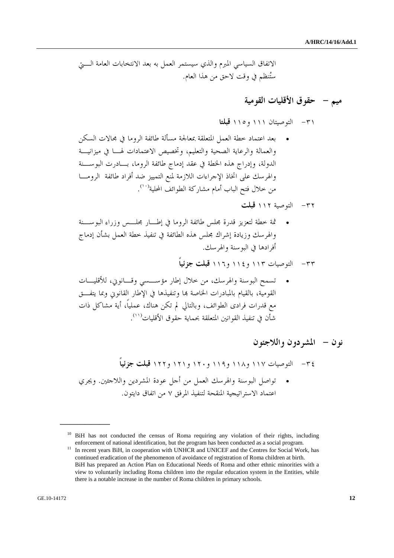الاتفاق السياسي المبرم والذي سيستمر العمل به بعد الانتخابات العامة الـتي ستُنظم في وقت لاحق من هذا العام.

# **ميم - حقوق الأقليات القومية**

-٣١ التوصيتان ١١١ و١١٥ **قبلتا** 

- بعد اعتماد خطة العمل المتعلقة بمعالجة مسألة طائفة الروما في مجالات السكن والعمالة والرعاية الصحية والتعليم، وتخصيص الاعتمادات لهـا في ميزانيـة الدولة، وإدراج هذه الخطة في عقد إدماج طائفة الروما، بـادرت البوسـنة والهرسك على اتخاذ الإجراءات اللازمة لمنع التمييز ضد أفراد طائفة الرومـا من خلال فتح الباب أمام مشاركة الطوائف المحلية (١٠) .
	- -٣٢ التوصية ١١٢ **قبلت**
- ثمة خطة لتعزيز قدرة مجلس طائفة الروما في إطـار مجلـس وزراء البوسـنة والهرسك وزيادة إشراك مجلس هذه الطائفة في تنفيذ خطة العمل بشأن إدماج أفرادها في البوسنة والهرسك.

-٣٣ التوصيات ١١٣ و١١٤ و١١٦ **قبلت جزئياً** 

• تسمح البوسنة والهرسك، من خلال إطار مؤسـسي و قـانوني، للأقليـات القومية، بالقيام بالمبادرات الخاصة هبا وتنفيذها في الإطار القانوني وبما يتفـق مع قدرات فرادى الطوائف، وبالتالي لم تكن هناك، عملياً، أية مشاكل ذات . (١١) شأن في تنفيذ القوانين المتعلقة بحماية حقوق الأقليات

 **نون - المشردون واللاجئون** 

-٣٤ التوصيات ١١٧ و١١٨ و١١٩ و١٢٠ و١٢١ و١٢٢ **قبلت جزئياً**  • تواصل البوسنة والهرسك العمل من أجل عودة المشردين واللاجئين . ويجري اعتماد الاستراتيجية المنقحة لتنفيذ المرفق ٧ من اتفاق دايتون.

<sup>&</sup>lt;sup>10</sup> BiH has not conducted the census of Roma requiring any violation of their rights, including enforcement of national identification, but the program has been conducted as a social program.<br><sup>11</sup> In recent years BiH, in cooperation with UNHCR and UNICEF and the Centres for Social Work, has

continued eradication of the phenomenon of avoidance of registration of Roma children at birth. BiH has prepared an Action Plan on Educational Needs of Roma and other ethnic minorities with a view to voluntarily including Roma children into the regular education system in the Entities, while there is a notable increase in the number of Roma children in primary schools.